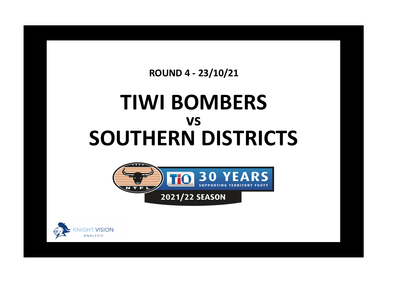**ROUND 4 - 23/10/21**

## **TIWI BOMBERS SOUTHERN DISTRICTS vs**



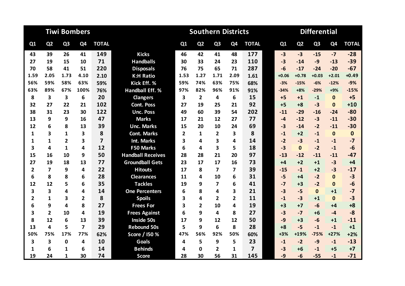|                |                |                         | <b>Tiwi Bombers</b> |                |                          |                         | <b>Southern Districts</b> |                |                |                         | <b>Differential</b> |                |                |                |              |  |
|----------------|----------------|-------------------------|---------------------|----------------|--------------------------|-------------------------|---------------------------|----------------|----------------|-------------------------|---------------------|----------------|----------------|----------------|--------------|--|
| Q1             | Q <sub>2</sub> | Q <sub>3</sub>          | Q4                  | <b>TOTAL</b>   |                          | Q1                      | Q <sub>2</sub>            | Q <sub>3</sub> | Q <sub>4</sub> | <b>TOTAL</b>            | Q1                  | Q <sub>2</sub> | Q <sub>3</sub> | Q <sub>4</sub> | <b>TOTAL</b> |  |
| 43             | 39             | 26                      | 41                  | 149            | <b>Kicks</b>             | 46                      | 42                        | 41             | 48             | 177                     | $-3$                | $-3$           | $-15$          | $-7$           | $-28$        |  |
| 27             | 19             | 15                      | 10                  | 71             | <b>Handballs</b>         | 30                      | 33                        | 24             | 23             | 110                     | $-3$                | $-14$          | $-9$           | $-13$          | $-39$        |  |
| 70             | 58             | 41                      | 51                  | 220            | <b>Disposals</b>         | 76                      | 75                        | 65             | 71             | 287                     | $-6$                | $-17$          | $-24$          | $-20$          | $-67$        |  |
| 1.59           | 2.05           | 1.73                    | 4.10                | 2.10           | <b>K:H Ratio</b>         | 1.53                    | 1.27                      | 1.71           | 2.09           | 1.61                    | $+0.06$             | $+0.78$        | $+0.03$        | $+2.01$        | $+0.49$      |  |
| 56%            | 59%            | 58%                     | 63%                 | 59%            | Kick Eff. %              | 59%                     | 74%                       | 63%            | 75%            | 68%                     | $-3%$               | $-15%$         | $-6%$          | $-12%$         | $-9%$        |  |
| 63%            | 89%            | 67%                     | 100%                | 76%            | <b>Handball Eff. %</b>   | 97%                     | 82%                       | 96%            | 91%            | 91%                     | $-34%$              | $+8%$          | $-29%$         | $+9%$          | $-15%$       |  |
| 8              | 3              | $\overline{\mathbf{3}}$ | 6                   | 20             | <b>Clangers</b>          | $\overline{\mathbf{3}}$ | $\overline{2}$            | 4              | 6              | 15                      | $+5$                | $+1$           | $-1$           | $\mathbf{0}$   | $+5$         |  |
| 32             | 27             | 22                      | 21                  | 102            | <b>Cont. Poss</b>        | 27                      | 19                        | 25             | 21             | 92                      | $+5$                | $+8$           | $-3$           | $\mathbf{0}$   | $+10$        |  |
| 38             | 31             | 23                      | 30                  | 122            | <b>Unc. Poss</b>         | 49                      | 60                        | 39             | 54             | 202                     | $-11$               | $-29$          | $-16$          | $-24$          | $-80$        |  |
| 13             | 9              | 9                       | 16                  | 47             | <b>Marks</b>             | 17                      | 21                        | 12             | 27             | 77                      | $-4$                | $-12$          | $-3$           | $-11$          | $-30$        |  |
| 12             | 6              | 8                       | 13                  | 39             | <b>Unc. Marks</b>        | 15                      | 20                        | 10             | 24             | 69                      | $-3$                | $-14$          | $-2$           | $-11$          | $-30$        |  |
| 1              | 3              | 1                       | 3                   | 8              | <b>Cont. Marks</b>       | $\overline{2}$          | 1                         | 2              | 3              | 8                       | $-1$                | $+2$           | $-1$           | $\mathbf 0$    | $\mathbf 0$  |  |
| 1              | $\mathbf{1}$   | $\overline{2}$          | 3                   | $\overline{7}$ | <b>Int. Marks</b>        | 3                       | 4                         | 3              | 4              | 14                      | $-2$                | $-3$           | $-1$           | $-1$           | $-7$         |  |
| 3              | 4              | $\mathbf{1}$            | 4                   | 12             | <b>F50 Marks</b>         | 6                       | 4                         | 3              | 5              | 18                      | $-3$                | $\Omega$       | $-2$           | $-1$           | $-6$         |  |
| 15             | 16             | 10                      | 9                   | 50             | <b>Handball Receives</b> | 28                      | 28                        | 21             | 20             | 97                      | $-13$               | $-12$          | $-11$          | $-11$          | $-47$        |  |
| 27             | 19             | 18                      | 13                  | 77             | <b>Groundball Gets</b>   | 23                      | 17                        | 17             | 16             | 73                      | $+4$                | $+2$           | $+1$           | $-3$           | $+4$         |  |
| $\overline{2}$ | $\overline{7}$ | 9                       | 4                   | 22             | <b>Hitouts</b>           | 17                      | 8                         | 7              | $\overline{7}$ | 39                      | $-15$               | $-1$           | $+2$           | $-3$           | $-17$        |  |
| 6              | 8              | 8                       | 6                   | 28             | <b>Clearances</b>        | 11                      | 4                         | 10             | 6              | 31                      | $-5$                | $+4$           | $-2$           | $\mathbf{0}$   | $-3$         |  |
| 12             | 12             | 5                       | 6                   | 35             | <b>Tackles</b>           | 19                      | 9                         | 7              | 6              | 41                      | $-7$                | $+3$           | $-2$           | $\mathbf{0}$   | $-6$         |  |
| 3              | 3              | 4                       | 4                   | 14             | <b>One Percenters</b>    | 6                       | 8                         | 4              | 3              | 21                      | $-3$                | $-5$           | $\mathbf{0}$   | $+1$           | $-7$         |  |
| $\overline{2}$ | $\mathbf{1}$   | 3                       | $\overline{2}$      | 8              | <b>Spoils</b>            | 3                       | 4                         | $\overline{2}$ | $\overline{2}$ | 11                      | $-1$                | $-3$           | $+1$           | $\mathbf{0}$   | $-3$         |  |
| 6              | 9              | 4                       | 8                   | 27             | <b>Frees For</b>         | 3                       | $\overline{2}$            | 10             | 4              | 19                      | $+3$                | $+7$           | $-6$           | +4             | $+8$         |  |
| 3              | $\overline{2}$ | 10                      | 4                   | 19             | <b>Frees Against</b>     | 6                       | 9                         | 4              | 8              | 27                      | $-3$                | $-7$           | $+6$           | $-4$           | $-8$         |  |
| 8              | 12             | 6                       | 13                  | 39             | <b>Inside 50s</b>        | 17                      | 9                         | 12             | 12             | 50                      | $-9$                | $+3$           | $-6$           | $+1$           | $-11$        |  |
| 13             | 4              | 5                       | 7                   | 29             | <b>Rebound 50s</b>       | 5                       | 9                         | 6              | 8              | 28                      | $+8$                | $-5$           | $-1$           | $-1$           | $+1$         |  |
| 50%            | 75%            | 17%                     | 77%                 | 62%            | Score / I50 %            | 47%                     | 56%                       | 92%            | 50%            | 60%                     | $+3%$               | +19%           | $-75%$         | $+27%$         | $+2%$        |  |
| 3              | 3              | $\mathbf 0$             | 4                   | 10             | Goals                    | 4                       | 5                         | 9              | 5              | 23                      | $-1$                | $-2$           | $-9$           | $-1$           | $-13$        |  |
| 1              | 6              | 1                       | 6                   | 14             | <b>Behinds</b>           | 4                       | $\Omega$                  | 2              | 1              | $\overline{\mathbf{z}}$ | $-3$                | $+6$           | $-1$           | $+5$           | $+7$         |  |
| 19             | 24             | 1                       | 30                  | 74             | <b>Score</b>             | 28                      | 30                        | 56             | 31             | 145                     | $-9$                | $-6$           | $-55$          | $-1$           | $-71$        |  |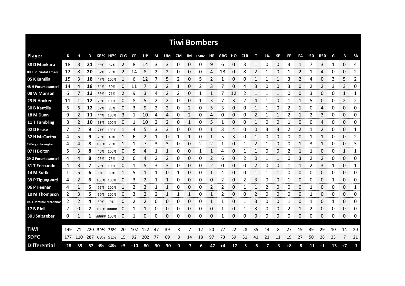| <b>Tiwi Bombers</b>       |       |       |         |            |             |      |           |     |     |                |    |     |                |     |      |       |            |              |      |           |              |    |       |            |       |                |              |
|---------------------------|-------|-------|---------|------------|-------------|------|-----------|-----|-----|----------------|----|-----|----------------|-----|------|-------|------------|--------------|------|-----------|--------------|----|-------|------------|-------|----------------|--------------|
| <b>Player</b>             | К     |       | D       |            | KE% HE% CLG |      | <b>CP</b> | UP  | М   | UM             | CM |     | IM F50M HR GBG |     |      | но    | <b>CLR</b> | т            | 1%   | <b>SP</b> | FF           | FA | 150   | <b>R50</b> | G     | в              | <b>SA</b>    |
| 38 D Munkara              | 18    | 3     | 21      | 56%        | 67%         | 2    | 8         | 14  | 3   | 3              | 0  | 0   | 0              | 9   | 6    | 0     | 3          | 1            | 0    | 0         | 3            | 1  |       | 3          | 1     | 0              | 4            |
| 09 E Puruntatameri        | 12    | 8     | 20      | 67%        | 75%         | 2    | 14        | 8   | 2   | 2              | 0  | 0   | 0              | 4   | 13   | 0     | 8          | 2            | 1    | 0         | 1            | 2  | 1     | 4          | 0     | 0              | 2            |
| 05 K Kantilla             | 15    | 3     | 18      | 47%        | 100%        |      | 6         | 12  | 7   | 5              | 2  | 0   | 5              | 2   | 1    | 0     | 0          | 1            | 1    | 1         | 3            | 2  | 4     | 0          | 3     | 5              | 2            |
| <b>48 H Puruntatameri</b> | 14    | 4     | 18      | 64%        | 50%         | 0    | 11        | 7   | 3   | 2              | 1  | 0   | 2              | 3   | 7    | 0     | 4          | 3            | 0    | 0         | 3            | 0  | 2     | 2          | 3     | 3              | 0            |
| 08 W Manson               | 6     |       | 13      | 33%        | 71%         | 2    | 9         | 3   | 4   | 2              | 2  | 0   | 1              | 1   | 7    | 12    | 2          | 1            | 1    | 1         | 0            | 0  | 3     | 0          | 0     | $\mathbf{1}$   | 1            |
| 23 N Hooker               | 11    | 1     | 12      |            | 73% 100%    | 0    | 8         | 5   | 2   | $\overline{2}$ | 0  | 0   | 1              | 3   | 7    | 3     | 2          | 4            | 1    | 0         | 1            | 1  | 5     | 0          | 0     | $\overline{2}$ | 2            |
| 50 B Kantilla             | 6     | 6     | 12      | 67%        | 83%         | 0    | 3         | 9   | 2   | 2              | 0  | 2   | 0              | 5   | 3    | 0     | 0          | 1            |      | 0         | 2            | 1  | 0     | 4          | 0     | $\Omega$       | 0            |
| 18 M Dunn                 | 9     | 2     | 11      | 44%        | 100%        | 3    | 1         | 10  | 4   | 4              | 0  | 2   | 0              | 4   | 0    | 0     | 0          | 2            |      | 1         | 2            | 1  | 2     | 3          | 0     | 0              | 0            |
| 11 T Tambling             | 8     | 2     | 10      |            | 63% 100%    | 0    | 1         | 10  | 2   | 2              | 0  | 1   | 0              | 5   |      | 0     | 0          | $\mathbf{1}$ | 0    | 0         | $\mathbf{1}$ | 0  | 0     | 4          | 0     | $\Omega$       | 0            |
| 02 D Kruse                | 7     | 2     | 9       | 71%        | 100%        | 1    | 4         | 5   | 3   | 3              | 0  | 0   | 0              | 1   | 3    | 4     | 0          | 0            | 3    | 3         | 2            | 2  | 1     | 2          | 0     | 0              | 1            |
| 32 H McCarthy             | 4     | 5     | 9       | 25%        | 40%         |      | 6         |     |     | 0              |    |     | 0              |     | 5    | 3     | 0          | 1            | 0    | 0         | 0            | 0  |       | 1          | 0     | 0              | 2            |
| 03 Douglas Cunningham     | 4     | 4     | 8       | 100%       | 75%         |      |           | 7   | 3   | 3              | 0  | 0   | 2              | 2   |      | 0     |            | 2            |      | 0         | 0            | 1  | 3     | 1          | 0     | 0              | 3            |
| 07 H Bolton               | 5     | 3     | 8       |            | 40% 100%    | 0    | 5         | 4   |     |                | 0  | 0   | 1              |     | 4    | 0     |            | 1            | 0    | 0         | 2            | 1  |       | 0          | 0     | 1              | 1            |
| 29 G Puruntatameri        | 4     | 4     | 8       | 25%        | 75%         | 2    | 6         | 4   | 2   | 2              | 0  | 0   | 0              | 2   | 6    | 0     | 2          | 0            |      | 1         | 0            | 3  | 2     | 2          | 0     | 0              | 0            |
| 31 T Fernando             | 4     | 3     |         |            | 75% 100%    | 0    |           |     | 3   | 3              | 0  | 0   | 0              | 2   | 0    | 0     | 0          |              | O    | 0         |              |    | 2     | 3          |       | 0<br>an mara   | 1            |
| 14 M Suttle               | 1     | 5     | 6       | 0%         | 60%         |      | 5         |     |     | 0              |    | 0   | 0              | 1   | 4    | 0     | 0          |              |      |           | O            | 0  | 0     | 0          | 0     | 0<br>monor     | 0<br>ananana |
| <b>39 P Tipungwuti</b>    | 4     | 2     | 6       |            | 100% 100%   | 0    | 3         | 2   |     | 1              | 0  | 0   | 0              | 0   | 2    | 0     | 2          | 3            | 0    | 0         |              | 0  | 0     | 0          |       | 0              | 0            |
| 06 P Heenan               | 4     |       | 5       |            | 75% 100%    |      | 2         | 3   |     |                | 0  | 0   | 0              | 2   | 2    | 0     |            |              |      | 0         | 0            | 0  |       | 0          | 0     | 0              | 1            |
| 10 M Thompson             | 2     | 3     | 5       | 50%        | 100%        | 0    | 3         | 2   | 2   | 1              |    | 1   | 0              | 1   | 2    | 0     | 0          | 2            | 0    | 0         | 0            | 0  |       | 0          | 0     | 0              | 0            |
| 04 J Dominic McLennan     | 2     |       | 4       | 50%        | 0%          | 0    | 2         | 2   | 0   | 0              | 0  | 0   | 0              | 1   |      | 0     |            | 3            | 0    | 0         | 1            | 0  |       | 0          | 1     | 0              | 0            |
| 17 B Rioli                | 2     | 0     | 2       |            | 100% #####  | 0    | 1         |     | 0   | 0              | 0  | 0   | 0              | 0   | 1    | 0     | 1          | 3            | 0    | 0         | 2            | 1  | 2     | 0          | 0     | 0              | 0            |
| 30 J Salzgeber            | 0     | 1     | 1       | ##### 100% |             | 0    | 1         | 0   | 0   | 0              | 0  | 0   | 0              | 0   | 1    | 0     | 0          | 0            | 0    | 0         | 0            | 0  | 0     | 0          | 0     | 0              | 0            |
|                           |       |       |         |            |             |      |           |     |     |                |    |     |                |     |      |       |            |              |      |           |              |    |       |            |       |                |              |
| <b>TIWI</b>               | 149   | 71    | 220     |            | 59% 76%     | 20   | 102       | 122 | 47  | 39             | 8  | 7   | 12             | 50  | 77   | 22    | 28         | 35           | 14   | 8         | 27           | 19 | 39    | 29         | 10    | 14             | 20           |
| <b>SDFC</b>               | 177   |       | 110 287 |            | 68% 91%     | 15   | 92        | 202 | 77  | 69             | 8  | 14  | 18             | 97  | 73   | 39    | 31         | 41           | 21   | 11        | 19           | 27 | 50    | 28         | 23    | 7              | 21           |
| <b>Differential</b>       | $-28$ | $-39$ | -67     | -9%        | -15%        | $+5$ | $+10$     | -80 | -30 | $-30$          | 0  | lay | -6             | -47 | $+4$ | $-17$ | $-3$       | -6           | $-7$ | $-3$      | $+8$         | -8 | $-11$ | $+1$       | $-13$ | $+7$           | -1           |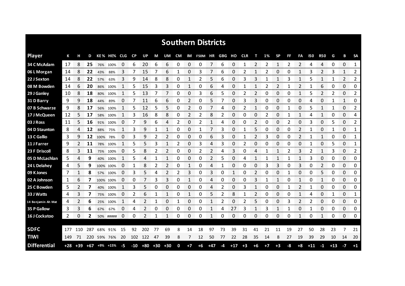| <b>Southern Districts</b> |     |                    |            |      |             |              |           |                   |                |       |    |                |            |              |     |       |            |                |      |           |              |              |       |            |       |                |                |
|---------------------------|-----|--------------------|------------|------|-------------|--------------|-----------|-------------------|----------------|-------|----|----------------|------------|--------------|-----|-------|------------|----------------|------|-----------|--------------|--------------|-------|------------|-------|----------------|----------------|
| <b>Player</b>             | К   |                    | D          |      | KE% HE% CLG |              | <b>CP</b> | UP                | М              | UM    | CM |                | IM F50M HR |              | GBG | но    | <b>CLR</b> | т              | 1%   | <b>SP</b> | FF           | FA           | 150   | <b>R50</b> | G     | в              | <b>SA</b>      |
| 34 C McAdam               | 17  | 8                  | 25         |      | 76% 100%    | 0            | 6         | 20                | 6              | 6     | 0  | 0              | 0          | 7            | 6   | 0     | 1          | 2              | 2    | 1         | 2            | 2            | 4     | 4          | 0     | 0              | 1              |
| 06 L Morgan               | 14  | 8                  | 22         | 43%  | 88%         | 3            | 7         | 15                | 7              | 6     | 1  | 0              | 3          | 7            | 6   | 0     | 2          | 1              | 2    | 0         | 0            | $\mathbf{1}$ | 3     | 2          | 3     | 1              | 2              |
| 22 J Sexton               | 14  | 8                  | 22         | 57%  | 63%         | 3            | 9         | 14                | 8              | 8     | 0  | 1              | 2          | 5            | 6   | 0     | 3          | 3              | 1    | 1         | 3            | 1            | 5     | 1          | 1     | $\overline{2}$ | 2              |
| 08 M Bowden               | 14  | 6                  | 20         | 86%  | 100%        | 1            | 5         | 15                | 3              | 3     | 0  | 1              | 0          | 6            | 4   | 0     | 1          | 1              | 2    | 2         | 1            | 2            | 1     | 6          | 0     | 0              | 0              |
| 29 J Ganley               | 10  | 8                  | 18         | 80%  | 100%        | $\mathbf{1}$ | 5         | 13                | 7              | 7     | 0  | 0              | 3          | 6            | 5   | 0     | 2          | 2              | 0    | 0         | 0            | $\mathbf{1}$ | 5     | 2          | 2     | 0              | 2              |
| 31 D Barry                | 9   | 9                  | 18         | 44%  | 89%         | 0            | 7         | 11                | 6              | 6     | 0  | 2              | 0          | 5            | 7   | 0     | 3          | 3              | 0    | 0         | 0            | 0            | 4     | 0          | 1     | 1              | 0              |
| 07 B Schwarze             | 9   | 8                  | 17         | 56%  | 100%        | 1            | 5.        | 12                | 5              | 5     | 0  | $\overline{2}$ | 0          | 7            | 4   | 0     | 2          | 1              | 0    | 0         | 1            | 0            | 5     | 1          | 1     | 0              | 2              |
| 17 J McQueen              | 12  | 5                  | 17         | 58%  | 100%        | 1            | 3         | 16                | 8              | 8     | 0  | 2              | 2          | 8            | 2   | 0     | 0          | 0              | 2    | 0         | $\mathbf{1}$ | 1            | 4     | 1          | 0     | 0              | 4              |
| 03 J Ross                 | 11  | 5                  | 16         |      | 91% 100%    | 0            | 7         | 9                 | 6              | 4     | 2  | 0              | 2          | $\mathbf{1}$ | 4   | 0     | 0          | $\overline{2}$ | 0    | 0         | 2            | 0            | 3     | 0          | 5     | $\Omega$       | 2              |
| 04 D Staunton             | 8   | 4                  | 12         | 88%  | 75%         | 1            | 3         | 9                 | 1              | 1     | 0  | 0              | 1          | 7            | 3   | 0     |            | 5              | 0    | 0         | 0            | 2            | 1     | 0          | 1     | 0              | 1              |
| 13 C Gallio               | 3   | 9                  | 12         | 100% | 78%         | 0            | 3         | 9                 | 2              | 2     | 0  | 0              | 0          | 6            | 3   | 0     |            | $\overline{2}$ | 3    | 0         | 0            | 2            |       | 1          | 0     | 0              | 1              |
| 11 J Farrer               | 9   |                    | 11         | 78%  | 100%        | -1           | 5         | 5                 | 3              | 1     | 2  | 0              | 3          | 4            | 3   | 0     | 2          | 0              | 0    | 0         | 0            | 0            |       | 0          | 5     | 0              | 1              |
| 23 F Driscoll             | 8   | 3                  | 11         |      | 75% 100%    | 0            | 5         | 8                 | $\overline{2}$ | 2     | 0  | 0              | 2          | 2            | 4   | 3     | 0          | 4              |      |           | 2            | 3            | 2     | 1          | 3     | 0              | $\overline{2}$ |
| 05 D McLachlan            | 5.  | 4                  | 9          | 40%  | 100%        | 1            | 5         | 4                 |                | 1     | 0  | 0              | 0          | 2            | 5   | 0     | 4          |                |      |           |              | 1            | 3     | 0          | 0     | 0              | 0              |
| 24 L Delahey              | 4   | 5                  | 9          |      | 100% 100%   | O            |           | 8                 | 2              |       | Ω  |                | 0          | 4            |     | 0     | 0          | O              | 3    | 3         | 0            | 3            | 0     | 2          | 0     | 0<br>an mara   | 0              |
| 09 K Jones                | 7   |                    | 8          | 57%  | 100%        | 0            | 3         | 5                 | 4              | 2     | 2  | 3              | 0          | 3            | 0   |       | 0          | 2              | O    | O         |              | O            | 0     | 5          | 0     | 0              | 0<br>nnnnnn    |
| 02 A Johnson              | 1   | 6                  | 7          |      | 100% 100%   | 0            | 0         |                   | 3              | 3     | 0  |                | 0          | 4            | 0   | 0     | 0          | 3              |      |           | 0            | 1            | 0     |            | 0     | 0              | 0              |
| 25 C Bowden               | 5   |                    | 7          | 40%  | 100%        |              | 3         | 5                 | 0              | 0     | 0  | 0              | 0          | 4            | 2   | 0     | 3          |                | Ω    | 0         |              | 2            |       | 0          | 0     | 0              | 0              |
| 33 J Watts                | 4   | 3                  | 7          |      | 75% 100%    | 0            | 2         | 6                 | 1              | 1     | 0  | 1              | 0          | 5            | 2   | 8     |            | 2              | 0    | 0         | 0            | 1            | 4     | 0          |       | 0              | 1              |
| 14 Benjamin Ah Mat        | 4   | 2                  | 6          | 25%  | 100%        | 1            | 4         | 2                 | 1              | 0     | 1  | 0              | 0          | 1            | 2   | 0     | 2          | 5              | 0    | 0         | 3            | 2            | 2     | 0          | 0     | 0              | 0              |
| 35 P Gallow               | 3   | 3                  | 6          | 67%  | 67%         | 0            | 4         | 2                 | 0              | 0     | 0  | 0              | 0          | 1            | 4   | 27    | 3          | 1              | 3    | 1         |              | 0            |       | 0          | 0     | 0              | 0              |
| 16 J Cockatoo             | 2   | 0                  | 2          |      | 50% #####   | 0            | 0         |                   | 1              | 1     | 0  | 0              | 0          | 1            | 0   | 0     | 0          | 0              | 0    | 0         | 0            | 1            | 0     | 1          | 0     | 0              | 0              |
| <b>SDFC</b>               | 177 | 110                | 287        | 68%  | 91%         | 15           | 92        | 202               | 77             | 69    | 8  | 14             | 18         | 97           | 73  | 39    | 31         | 41             | 21   | 11        | 19           | 27           | 50    | 28         | 23    | 7              | 21             |
| <b>TIWI</b>               | 149 | 71                 | <b>220</b> |      | 59% 76%     | 20           |           | 102 122           | 47             | 39    | 8  | 7              | 12         | 50           | 77  | 22    | 28         | 35             | 14   | 8         | 27           | 19           | 39    | 29         | 10    | 14             | 20             |
| <b>Differential</b>       | +28 | $+39$ $+67$ $+9\%$ |            |      | $+15%$      | -5           |           | $-10$ $+80$ $+30$ |                | $+30$ | 0  | $+7$           | $+6$       | $+47$        | -4  | $+17$ | $+3$       | $+6$           | $+7$ | $+3$      | -8           | $+8$         | $+11$ | $-1$       | $+13$ | $-7$           | $+1$           |
|                           |     |                    |            |      |             |              |           |                   |                |       |    |                |            |              |     |       |            |                |      |           |              |              |       |            |       |                |                |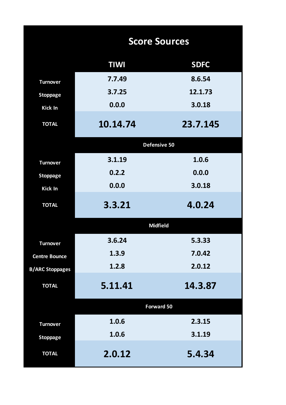|                        | <b>Score Sources</b> |                   |  |  |  |  |  |  |  |  |
|------------------------|----------------------|-------------------|--|--|--|--|--|--|--|--|
|                        | <b>TIWI</b>          | <b>SDFC</b>       |  |  |  |  |  |  |  |  |
| <b>Turnover</b>        | 7.7.49               | 8.6.54            |  |  |  |  |  |  |  |  |
| <b>Stoppage</b>        | 3.7.25               | 12.1.73           |  |  |  |  |  |  |  |  |
| Kick In                | 0.0.0                | 3.0.18            |  |  |  |  |  |  |  |  |
| <b>TOTAL</b>           | 10.14.74             | 23.7.145          |  |  |  |  |  |  |  |  |
|                        | Defensive 50         |                   |  |  |  |  |  |  |  |  |
| <b>Turnover</b>        | 3.1.19               | 1.0.6             |  |  |  |  |  |  |  |  |
| <b>Stoppage</b>        | 0.2.2                | 0.0.0             |  |  |  |  |  |  |  |  |
| Kick In                | 0.0.0                | 3.0.18            |  |  |  |  |  |  |  |  |
| <b>TOTAL</b>           | 3.3.21               | 4.0.24            |  |  |  |  |  |  |  |  |
|                        | <b>Midfield</b>      |                   |  |  |  |  |  |  |  |  |
| <b>Turnover</b>        | 3.6.24               | 5.3.33            |  |  |  |  |  |  |  |  |
| <b>Centre Bounce</b>   | 1.3.9                | 7.0.42            |  |  |  |  |  |  |  |  |
| <b>B/ARC Stoppages</b> | 1.2.8                | 2.0.12            |  |  |  |  |  |  |  |  |
| <b>TOTAL</b>           | 5.11.41              | 14.3.87           |  |  |  |  |  |  |  |  |
|                        |                      | <b>Forward 50</b> |  |  |  |  |  |  |  |  |
| <b>Turnover</b>        | 1.0.6                | 2.3.15            |  |  |  |  |  |  |  |  |
| <b>Stoppage</b>        | 1.0.6                | 3.1.19            |  |  |  |  |  |  |  |  |
| <b>TOTAL</b>           | 2.0.12               | 5.4.34            |  |  |  |  |  |  |  |  |